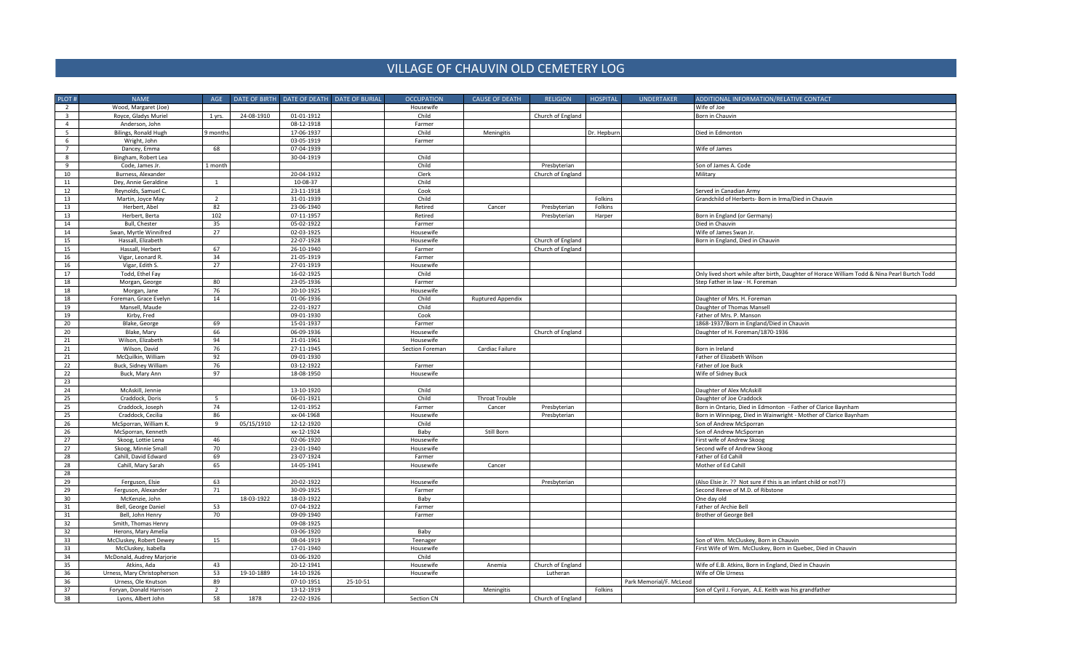## VILLAGE OF CHAUVIN OLD CEMETERY LOG

| PLOT#                   | <b>NAME</b>                                    | AGE            |            |            | DATE OF BIRTH DATE OF DEATH DATE OF BURIAL | <b>OCCUPATION</b> | <b>CAUSE OF DEATH</b> | <b>RELIGION</b>   | <b>HOSPITAL</b> | <b>UNDERTAKER</b>       | ADDITIONAL INFORMATION/RELATIVE CONTACT                                                      |
|-------------------------|------------------------------------------------|----------------|------------|------------|--------------------------------------------|-------------------|-----------------------|-------------------|-----------------|-------------------------|----------------------------------------------------------------------------------------------|
| $\overline{2}$          | Wood, Margaret (Joe)                           |                |            |            |                                            | Housewife         |                       |                   |                 |                         | Wife of Joe                                                                                  |
| $\overline{\mathbf{3}}$ | Royce, Gladys Muriel                           | 1 yrs.         | 24-08-1910 | 01-01-1912 |                                            | Child             |                       | Church of England |                 |                         | Born in Chauvin                                                                              |
| $\overline{4}$          | Anderson, John                                 |                |            | 08-12-1918 |                                            | Farmer            |                       |                   |                 |                         |                                                                                              |
| 5                       | Bilings, Ronald Hugh                           | 9 month        |            | 17-06-1937 |                                            | Child             | Meningitis            |                   | Dr. Hepburn     |                         | Died in Edmonton                                                                             |
| 6                       | Wright, John                                   |                |            | 03-05-1919 |                                            | Farmer            |                       |                   |                 |                         |                                                                                              |
| $\overline{7}$          | Dancey, Emma                                   | 68             |            | 07-04-1939 |                                            |                   |                       |                   |                 |                         | Wife of James                                                                                |
| 8                       | Bingham, Robert Lea                            |                |            | 30-04-1919 |                                            | Child             |                       |                   |                 |                         |                                                                                              |
| 9                       | Code, James Jr.                                | 1 month        |            |            |                                            | Child             |                       | Presbyterian      |                 |                         | Son of James A. Code                                                                         |
| 10                      | Burness, Alexander                             |                |            | 20-04-1932 |                                            | Clerk             |                       | Church of England |                 |                         | Military                                                                                     |
| 11                      | Dey, Annie Geraldine                           | 1              |            | 10-08-37   |                                            | Child             |                       |                   |                 |                         |                                                                                              |
| 12                      | Reynolds, Samuel C.                            |                |            | 23-11-1918 |                                            | Cook              |                       |                   |                 |                         | Served in Canadian Army                                                                      |
| 13                      | Martin, Joyce May                              | $\overline{2}$ |            | 31-01-1939 |                                            | Child             |                       |                   | Folkins         |                         | Grandchild of Herberts- Born in Irma/Died in Chauvin                                         |
| 13                      | Herbert, Abel                                  | 82             |            | 23-06-1940 |                                            | Retired           | Cancer                | Presbyterian      | Folkins         |                         |                                                                                              |
| 13                      | Herbert, Berta                                 | 102            |            | 07-11-1957 |                                            | Retired           |                       | Presbyterian      | Harper          |                         | Born in England (or Germany)                                                                 |
| 14                      | <b>Bull, Chester</b>                           | 35             |            | 05-02-1922 |                                            | Farmer            |                       |                   |                 |                         | Died in Chauvin                                                                              |
| 14                      | Swan, Myrtle Winnifred                         | 27             |            | 02-03-1925 |                                            | Housewife         |                       |                   |                 |                         | Wife of James Swan Jr.                                                                       |
| 15                      | Hassall, Elizabeth                             |                |            | 22-07-1928 |                                            | Housewife         |                       | Church of England |                 |                         | Born in England, Died in Chauvin                                                             |
| 15                      | Hassall, Herbert                               | 67             |            | 26-10-1940 |                                            | Farmer            |                       | Church of England |                 |                         |                                                                                              |
| 16                      | Vigar, Leonard R                               | 34             |            | 21-05-1919 |                                            | Farmer            |                       |                   |                 |                         |                                                                                              |
| 16                      | Vigar, Edith S.                                | 27             |            | 27-01-1919 |                                            | Housewife         |                       |                   |                 |                         |                                                                                              |
| 17                      |                                                |                |            | 16-02-1925 |                                            | Child             |                       |                   |                 |                         |                                                                                              |
|                         | Todd, Ethel Fay                                | 80             |            |            |                                            | Farmer            |                       |                   |                 |                         | Only lived short while after birth, Daughter of Horace William Todd & Nina Pearl Burtch Todd |
| 18                      | Morgan, George                                 |                |            | 23-05-1936 |                                            |                   |                       |                   |                 |                         | Step Father in law - H. Foreman                                                              |
| 18                      | Morgan, Jane                                   | 76             |            | 20-10-1925 |                                            | Housewife         |                       |                   |                 |                         |                                                                                              |
| 18                      | Foreman, Grace Evelyn                          | 14             |            | 01-06-1936 |                                            | Child             | Ruptured Appendix     |                   |                 |                         | Daughter of Mrs. H. Foreman                                                                  |
| 19                      | Mansell, Maude                                 |                |            | 22-01-1927 |                                            | Child             |                       |                   |                 |                         | Daughter of Thomas Mansell                                                                   |
| 19                      | Kirby, Fred                                    |                |            | 09-01-1930 |                                            | Cook              |                       |                   |                 |                         | Father of Mrs. P. Manson                                                                     |
| 20                      | Blake, George                                  | 69             |            | 15-01-1937 |                                            | Farmer            |                       |                   |                 |                         | 1868-1937/Born in England/Died in Chauvin                                                    |
| 20                      | Blake, Mary                                    | 66             |            | 06-09-1936 |                                            | Housewife         |                       | Church of England |                 |                         | Daughter of H. Foreman/1870-1936                                                             |
| 21                      | Wilson, Elizabeth                              | 94             |            | 21-01-1961 |                                            | Housewife         |                       |                   |                 |                         |                                                                                              |
| 21                      | Wilson, David                                  | 76             |            | 27-11-1945 |                                            | Section Foreman   | Cardiac Failure       |                   |                 |                         | Born in Ireland                                                                              |
| 21                      | McQuilkin, William                             | 92             |            | 09-01-1930 |                                            |                   |                       |                   |                 |                         | Father of Elizabeth Wilson                                                                   |
| 22                      | Buck, Sidney William                           | 76             |            | 03-12-1922 |                                            | Farmer            |                       |                   |                 |                         | Father of Joe Buck                                                                           |
| 22                      | Buck, Mary Ann                                 | 97             |            | 18-08-1950 |                                            | Housewife         |                       |                   |                 |                         | Wife of Sidney Buck                                                                          |
| 23                      |                                                |                |            |            |                                            |                   |                       |                   |                 |                         |                                                                                              |
| 24                      | McAskill, Jennie                               |                |            | 13-10-1920 |                                            | Child             |                       |                   |                 |                         | Daughter of Alex McAskill                                                                    |
| 25                      | Craddock, Doris                                | 5              |            | 06-01-1921 |                                            | Child             | <b>Throat Trouble</b> |                   |                 |                         | Daughter of Joe Craddock                                                                     |
| 25                      | Craddock, Joseph                               | 74             |            | 12-01-1952 |                                            | Farmer            | Cancer                | Presbyterian      |                 |                         | Born in Ontario, Died in Edmonton - Father of Clarice Baynham                                |
| 25                      | Craddock, Cecilia                              | 86             |            | xx-04-1968 |                                            | Housewife         |                       | Presbyterian      |                 |                         | Born in Winnipeg, Died in Wainwright - Mother of Clarice Baynham                             |
| 26                      | McSporran, William K.                          | $\mathbf{q}$   | 05/15/1910 | 12-12-1920 |                                            | Child             |                       |                   |                 |                         | Son of Andrew McSporran                                                                      |
| 26                      | McSporran, Kenneth                             |                |            | xx-12-1924 |                                            | Baby              | Still Born            |                   |                 |                         | Son of Andrew McSporran                                                                      |
| 27                      | Skoog, Lottie Lena                             | 46             |            | 02-06-1920 |                                            | Housewife         |                       |                   |                 |                         | First wife of Andrew Skoog                                                                   |
| 27                      | Skoog, Minnie Small                            | 70             |            | 23-01-1940 |                                            | Housewife         |                       |                   |                 |                         | Second wife of Andrew Skoog                                                                  |
| 28                      | Cahill, David Edward                           | 69             |            | 23-07-1924 |                                            | Farmer            |                       |                   |                 |                         | Father of Ed Cahill                                                                          |
| 28                      | Cahill, Mary Sarah                             | 65             |            | 14-05-1941 |                                            | Housewife         | Cancer                |                   |                 |                         | Mother of Ed Cahill                                                                          |
| 28                      |                                                |                |            |            |                                            |                   |                       |                   |                 |                         |                                                                                              |
| 29                      | Ferguson, Elsie                                | 63             |            | 20-02-1922 |                                            | Housewife         |                       | Presbyterian      |                 |                         | (Also Elsie Jr. ?? Not sure if this is an infant child or not??)                             |
| 29                      | Ferguson, Alexander                            | 71             |            | 30-09-1925 |                                            | Farmer            |                       |                   |                 |                         | Second Reeve of M.D. of Ribstone                                                             |
| 30                      | McKenzie, John                                 |                | 18-03-1922 | 18-03-1922 |                                            | Baby              |                       |                   |                 |                         | One day old                                                                                  |
| 31                      | Bell, George Daniel                            | 53             |            | 07-04-1922 |                                            | Farmer            |                       |                   |                 |                         | Father of Archie Bell                                                                        |
| 31                      | Bell, John Henry                               | 70             |            | 09-09-1940 |                                            | Farmer            |                       |                   |                 |                         | Brother of George Bell                                                                       |
| 32                      | Smith, Thomas Henry                            |                |            | 09-08-1925 |                                            |                   |                       |                   |                 |                         |                                                                                              |
| 32                      | Herons, Mary Amelia                            |                |            | 03-06-1920 |                                            | Baby              |                       |                   |                 |                         |                                                                                              |
| 33                      | McCluskey, Robert Dewey                        | 15             |            | 08-04-1919 |                                            | Teenager          |                       |                   |                 |                         | Son of Wm. McCluskey, Born in Chauvin                                                        |
| 33                      | McCluskey, Isabella                            |                |            | 17-01-1940 |                                            | Housewife         |                       |                   |                 |                         | First Wife of Wm. McCluskey, Born in Quebec, Died in Chauvin                                 |
| 34                      | McDonald, Audrey Marjorie                      |                |            | 03-06-1920 |                                            | Child             |                       |                   |                 |                         |                                                                                              |
| 35                      | Atkins, Ada                                    | 43             |            | 20-12-1941 |                                            | Housewife         | Anemia                | Church of England |                 |                         | Wife of E.B. Atkins, Born in England, Died in Chauvin                                        |
| 36                      | Urness, Mary Christopherson                    | 53             | 19-10-1889 | 14-10-1926 |                                            | Housewife         |                       | Lutheran          |                 |                         | Wife of Ole Urness                                                                           |
| 36                      |                                                | 89             |            | 07-10-1951 | 25-10-51                                   |                   |                       |                   |                 | Park Memorial/F. McLeod |                                                                                              |
| 37                      | Urness, Ole Knutson<br>Foryan, Donald Harrison | $\overline{2}$ |            | 13-12-1919 |                                            |                   | Meningitis            |                   | Folkins         |                         | Son of Cyril J. Foryan, A.E. Keith was his grandfather                                       |
|                         |                                                |                |            |            |                                            |                   |                       |                   |                 |                         |                                                                                              |
| 38                      | Lyons, Albert John                             | 58             | 1878       | 22-02-1926 |                                            | Section CN        |                       | Church of England |                 |                         |                                                                                              |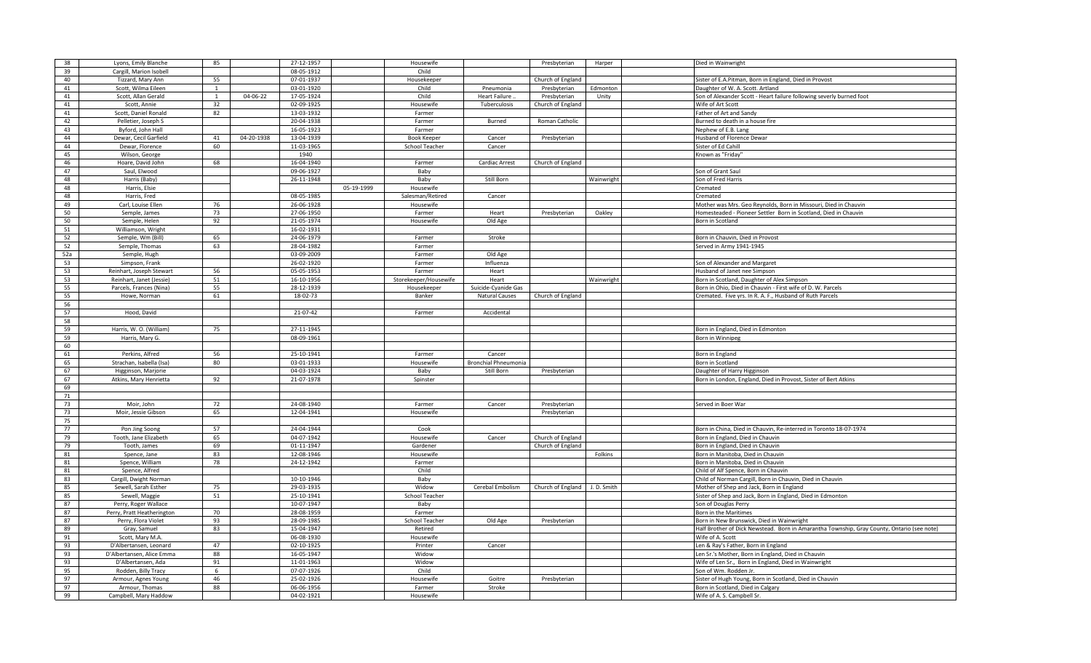| 38  | Lyons, Emily Blanche       | 85             |            | 27-12-1957       |            | Housewife             |                             | Presbyterian      | Harper     | Died in Wainwright                                                                         |
|-----|----------------------------|----------------|------------|------------------|------------|-----------------------|-----------------------------|-------------------|------------|--------------------------------------------------------------------------------------------|
| 39  | Cargill, Marion Isobell    |                |            | 08-05-1912       |            | Child                 |                             |                   |            |                                                                                            |
| 40  | Tizzard, Mary Ann          | 55             |            | 07-01-1937       |            | Housekeeper           |                             | Church of England |            | Sister of E.A.Pitman, Born in England, Died in Provost                                     |
| 41  | Scott, Wilma Eileen        | $\overline{1}$ |            | 03-01-1920       |            | Child                 | Pneumonia                   | Presbyterian      | Edmonton   | Daughter of W. A. Scott. Artland                                                           |
| 41  | Scott, Allan Gerald        | $\overline{1}$ | 04-06-22   | 17-05-1924       |            | Child                 | <b>Heart Failure</b>        | Presbyterian      | Unity      | Son of Alexander Scott - Heart failure following severly burned foot                       |
| 41  | Scott, Annie               | 32             |            | 02-09-1925       |            | Housewife             | Tuberculosis                | Church of England |            | Wife of Art Scott                                                                          |
| 41  | Scott, Daniel Ronald       | 82             |            | 13-03-1932       |            | Farmer                |                             |                   |            | Father of Art and Sandy                                                                    |
| 42  | Pelletier, Joseph S        |                |            | 20-04-1938       |            | Farmer                | Burned                      | Roman Catholic    |            | Burned to death in a house fire                                                            |
|     |                            |                |            |                  |            |                       |                             |                   |            |                                                                                            |
| 43  | Byford, John Hall          |                |            | 16-05-1923       |            | Farmer                |                             |                   |            | Nephew of E.B. Lang                                                                        |
| 44  | Dewar, Cecil Garfield      | 41             | 04-20-1938 | 13-04-1939       |            | <b>Book Keeper</b>    | Cancer                      | Presbyterian      |            | Husband of Florence Dewar                                                                  |
| 44  | Dewar, Florence            | 60             |            | 11-03-1965       |            | School Teacher        | Cancer                      |                   |            | Sister of Ed Cahil                                                                         |
| 45  | Wilson, George             |                |            | 1940             |            |                       |                             |                   |            | Known as "Friday                                                                           |
| 46  | Hoare. David John          | 68             |            | 16-04-1940       |            | Farmer                | Cardiac Arrest              | Church of England |            |                                                                                            |
| 47  | Saul, Elwood               |                |            | 09-06-1927       |            | Baby                  |                             |                   |            | Son of Grant Saul                                                                          |
| 48  | Harris (Baby)              |                |            | 26-11-1948       |            | Baby                  | Still Born                  |                   | Wainwright | Son of Fred Harris                                                                         |
| 48  | Harris, Elsie              |                |            |                  | 05-19-1999 | Housewife             |                             |                   |            | Cremated                                                                                   |
| 48  | Harris, Fred               |                |            | 08-05-1985       |            | Salesman/Retired      | Cancer                      |                   |            | Cremated                                                                                   |
| 49  | Carl, Louise Ellen         | 76             |            | 26-06-1928       |            | Housewife             |                             |                   |            | Mother was Mrs. Geo Reynolds, Born in Missouri, Died in Chauvin                            |
| 50  | Semple, James              | 73             |            | 27-06-1950       |            | Farmer                | Heart                       | Presbyterian      | Oakley     | Homesteaded - Pioneer Settler Born in Scotland, Died in Chauvin                            |
| 50  | Semple, Helen              | 92             |            | 21-05-1974       |            | Housewife             | Old Age                     |                   |            | Born in Scotland                                                                           |
| 51  | Williamson, Wright         |                |            | 16-02-1931       |            |                       |                             |                   |            |                                                                                            |
| 52  |                            | 65             |            |                  |            |                       | Stroke                      |                   |            |                                                                                            |
|     | Semple, Wm (Bill)          |                |            | 24-06-1979       |            | Farmer                |                             |                   |            | Born in Chauvin, Died in Provost                                                           |
| 52  | Semple, Thomas             | 63             |            | 28-04-1982       |            | Farmer                |                             |                   |            | Served in Army 1941-1945                                                                   |
| 52a | Semple, Hugh               |                |            | 03-09-2009       |            | Farmer                | Old Age                     |                   |            |                                                                                            |
| 53  | Simpson, Frank             |                |            | 26-02-1920       |            | Farmer                | Influenza                   |                   |            | Son of Alexander and Margaret                                                              |
| 53  | Reinhart, Joseph Stewart   | 56             |            | $05 - 05 - 1953$ |            | Farmer                | Heart                       |                   |            | Husband of Janet nee Simpson                                                               |
| 53  | Reinhart, Janet (Jessie)   | 51             |            | 16-10-1956       |            | Storekeeper/Housewife | Heart                       |                   | Wainwright | Born in Scotland, Daughter of Alex Simpson                                                 |
| 55  | Parcels, Frances (Nina)    | 55             |            | 28-12-1939       |            | Housekeeper           | Suicide-Cyanide Gas         |                   |            | Born in Ohio, Died in Chauvin - First wife of D. W. Parcels                                |
| 55  | Howe, Norman               | 61             |            | 18-02-73         |            | Banker                | <b>Natural Causes</b>       | Church of England |            | Cremated. Five yrs. In R. A. F., Husband of Ruth Parcels                                   |
| 56  |                            |                |            |                  |            |                       |                             |                   |            |                                                                                            |
| 57  | Hood, David                |                |            | 21-07-42         |            | Farmer                | Accidental                  |                   |            |                                                                                            |
| 58  |                            |                |            |                  |            |                       |                             |                   |            |                                                                                            |
| 59  | Harris, W. O. (William)    | 75             |            | 27-11-1945       |            |                       |                             |                   |            | Born in England, Died in Edmonton                                                          |
| 59  | Harris, Mary G.            |                |            | 08-09-1961       |            |                       |                             |                   |            | Born in Winnipeg                                                                           |
| 60  |                            |                |            |                  |            |                       |                             |                   |            |                                                                                            |
|     |                            | 56             |            |                  |            |                       |                             |                   |            |                                                                                            |
| 61  | Perkins, Alfred            |                |            | 25-10-1941       |            | Farmer                | Cancer                      |                   |            | Born in England                                                                            |
| 65  | Strachan, Isabella (Isa)   | 80             |            | 03-01-1933       |            | Housewife             | <b>Bronchial Phneumonia</b> |                   |            | Born in Scotland                                                                           |
| 67  | Higginson, Marjorie        |                |            | 04-03-1924       |            | Baby                  | Still Born                  | Presbyterian      |            | Daughter of Harry Higginson                                                                |
| 67  | Atkins, Mary Henrietta     | 92             |            | 21-07-1978       |            | Spinster              |                             |                   |            | Born in London, England, Died in Provost, Sister of Bert Atkins                            |
| 69  |                            |                |            |                  |            |                       |                             |                   |            |                                                                                            |
| 71  |                            |                |            |                  |            |                       |                             |                   |            |                                                                                            |
| 73  | Moir, John                 | 72             |            | 24-08-1940       |            | Farmer                | Cancer                      | Presbyterian      |            | Served in Boer War                                                                         |
| 73  | Moir, Jessie Gibson        | 65             |            | 12-04-1941       |            | Housewife             |                             | Presbyterian      |            |                                                                                            |
| 75  |                            |                |            |                  |            |                       |                             |                   |            |                                                                                            |
| 77  | Pon Jing Soong             | 57             |            | 24-04-1944       |            | Cook                  |                             |                   |            | Born in China, Died in Chauvin, Re-interred in Toronto 18-07-1974                          |
| 79  | Tooth, Jane Elizabeth      | 65             |            | 04-07-1942       |            | Housewife             | Cancer                      | Church of England |            | Born in England, Died in Chauvin                                                           |
| 79  | Tooth, James               | 69             |            | 01-11-1947       |            | Gardener              |                             | Church of England |            | Born in England, Died in Chauvin                                                           |
| 81  | Spence, Jane               | 83             |            | 12-08-1946       |            | Housewife             |                             |                   | Folkins    | Born in Manitoba, Died in Chauvin                                                          |
| 81  | Spence, William            | 78             |            | 24-12-1942       |            | Farmer                |                             |                   |            | Born in Manitoba, Died in Chauvin                                                          |
| 81  | Spence, Alfred             |                |            |                  |            | Child                 |                             |                   |            | Child of Alf Spence, Born in Chauvin                                                       |
| 83  |                            |                |            | 10-10-1946       |            | Baby                  |                             |                   |            |                                                                                            |
|     | Cargill, Dwight Norman     |                |            |                  |            |                       |                             |                   |            | Child of Norman Cargill, Born in Chauvin, Died in Chauvin                                  |
| 85  | Sewell, Sarah Esther       | 75             |            | 29-03-1935       |            | Widow                 | Cerebal Embolism            | Church of England | J.D. Smith | Mother of Shep and Jack, Born in England                                                   |
| 85  | Sewell, Maggie             | 51             |            | 25-10-1941       |            | School Teacher        |                             |                   |            | Sister of Shep and Jack, Born in England, Died in Edmonton                                 |
| 87  | Perry, Roger Wallace       |                |            | 10-07-1947       |            | Baby                  |                             |                   |            | Son of Douglas Perry                                                                       |
| 87  | Perry, Pratt Heatherington | 70             |            | 28-08-1959       |            | Farmer                |                             |                   |            | Born in the Maritimes                                                                      |
| 87  | Perry, Flora Violet        | 93             |            | 28-09-1985       |            | School Teacher        | Old Age                     | Presbyterian      |            | Born in New Brunswick, Died in Wainwright                                                  |
| 89  | Gray, Samuel               | 83             |            | 15-04-1947       |            | Retired               |                             |                   |            | Half Brother of Dick Newstead. Born in Amarantha Township, Gray County, Ontario (see note) |
| 91  | Scott, Mary M.A.           |                |            | 06-08-1930       |            | Housewife             |                             |                   |            | Wife of A. Scott                                                                           |
| 93  | D'Albertansen, Leonard     | 47             |            | 02-10-1925       |            | Printer               | Cancer                      |                   |            | Len & Ray's Father, Born in England                                                        |
| 93  | D'Albertansen, Alice Emma  | 88             |            | 16-05-1947       |            | Widow                 |                             |                   |            | Len Sr.'s Mother, Born in England, Died in Chauvin                                         |
| 93  | D'Albertansen, Ada         | 91             |            | 11-01-1963       |            | Widow                 |                             |                   |            | Wife of Len Sr., Born in England, Died in Wainwright                                       |
| 95  | Rodden, Billy Tracy        | -6             |            | 07-07-1926       |            | Child                 |                             |                   |            | Son of Wm. Rodden Jr.                                                                      |
| 97  | Armour, Agnes Young        | 46             |            | 25-02-1926       |            | Housewife             | Goitre                      | Presbyterian      |            | Sister of Hugh Young, Born in Scotland, Died in Chauvin                                    |
| 97  | Armour, Thomas             | 88             |            | 06-06-1956       |            | Farmer                | Stroke                      |                   |            | Born in Scotland, Died in Calgary                                                          |
|     |                            |                |            |                  |            |                       |                             |                   |            |                                                                                            |
| 99  | Campbell, Mary Haddow      |                |            | 04-02-1921       |            | Housewife             |                             |                   |            | Wife of A. S. Campbell Sr.                                                                 |